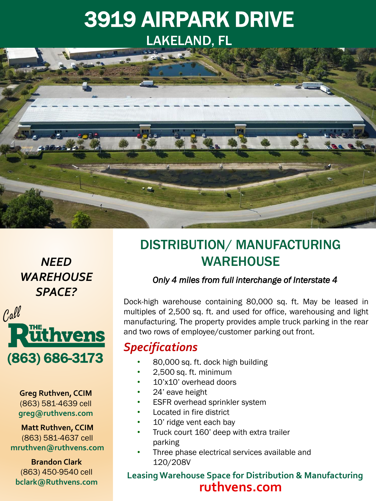# 3919 AIRPARK DRIVE LAKELAND, FL



*NEED WAREHOUSE SPACE?* 



**Greg Ruthven, CCIM** (863) 581-4639 cell **greg@ruthvens.com**

**Matt Ruthven, CCIM** (863) 581-4637 cell **mruthven@ruthvens.com**

**Brandon Clark** (863) 450-9540 cell **bclark@Ruthvens.com**

## DISTRIBUTION/ MANUFACTURING **WAREHOUSE**

### *Only 4 miles from full interchange of Interstate 4*

Dock-high warehouse containing 80,000 sq. ft. May be leased in multiples of 2,500 sq. ft. and used for office, warehousing and light manufacturing. The property provides ample truck parking in the rear and two rows of employee/customer parking out front.

### *Specifications*

- 80,000 sq. ft. dock high building
- 2,500 sq. ft. minimum
- 10'x10' overhead doors
- 24' eave height
- **ESFR** overhead sprinkler system
- Located in fire district
- 10' ridge vent each bay
- Truck court 160' deep with extra trailer parking
- Three phase electrical services available and 120/208V

### **Leasing Warehouse Space for Distribution & Manufacturing ruthvens.com**